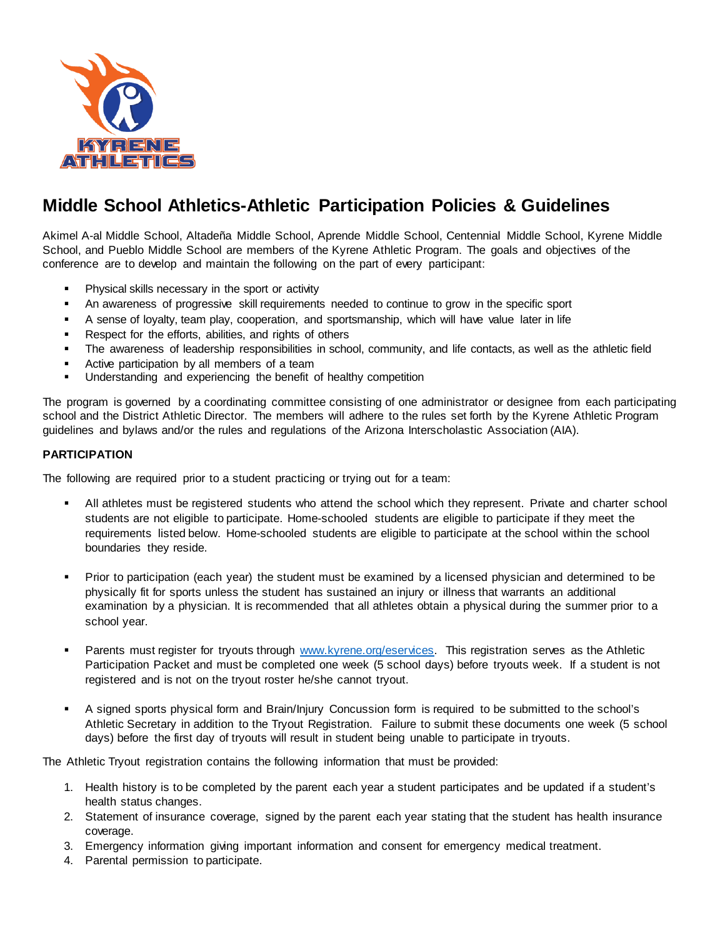

# **Middle School Athletics-Athletic Participation Policies & Guidelines**

Akimel A-al Middle School, Altadeña Middle School, Aprende Middle School, Centennial Middle School, Kyrene Middle School, and Pueblo Middle School are members of the Kyrene Athletic Program. The goals and objectives of the conference are to develop and maintain the following on the part of every participant:

- Physical skills necessary in the sport or activity
- An awareness of progressive skill requirements needed to continue to grow in the specific sport
- A sense of loyalty, team play, cooperation, and sportsmanship, which will have value later in life
- Respect for the efforts, abilities, and rights of others
- The awareness of leadership responsibilities in school, community, and life contacts, as well as the athletic field
- Active participation by all members of a team
- **Understanding and experiencing the benefit of healthy competition**

The program is governed by a coordinating committee consisting of one administrator or designee from each participating school and the District Athletic Director. The members will adhere to the rules set forth by the Kyrene Athletic Program guidelines and bylaws and/or the rules and regulations of the Arizona Interscholastic Association (AIA).

# **PARTICIPATION**

The following are required prior to a student practicing or trying out for a team:

- All athletes must be registered students who attend the school which they represent. Private and charter school students are not eligible to participate. Home-schooled students are eligible to participate if they meet the requirements listed below. Home-schooled students are eligible to participate at the school within the school boundaries they reside.
- Prior to participation (each year) the student must be examined by a licensed physician and determined to be physically fit for sports unless the student has sustained an injury or illness that warrants an additional examination by a physician. It is recommended that all athletes obtain a physical during the summer prior to a school year.
- Parents must register for tryouts through [www.kyrene.org/eservices.](http://www.kyrene.org/eservices) This registration serves as the Athletic Participation Packet and must be completed one week (5 school days) before tryouts week. If a student is not registered and is not on the tryout roster he/she cannot tryout.
- A signed sports physical form and Brain/Injury Concussion form is required to be submitted to the school's Athletic Secretary in addition to the Tryout Registration. Failure to submit these documents one week (5 school days) before the first day of tryouts will result in student being unable to participate in tryouts.

The Athletic Tryout registration contains the following information that must be provided:

- 1. Health history is to be completed by the parent each year a student participates and be updated if a student's health status changes.
- 2. Statement of insurance coverage, signed by the parent each year stating that the student has health insurance coverage.
- 3. Emergency information giving important information and consent for emergency medical treatment.
- 4. Parental permission to participate.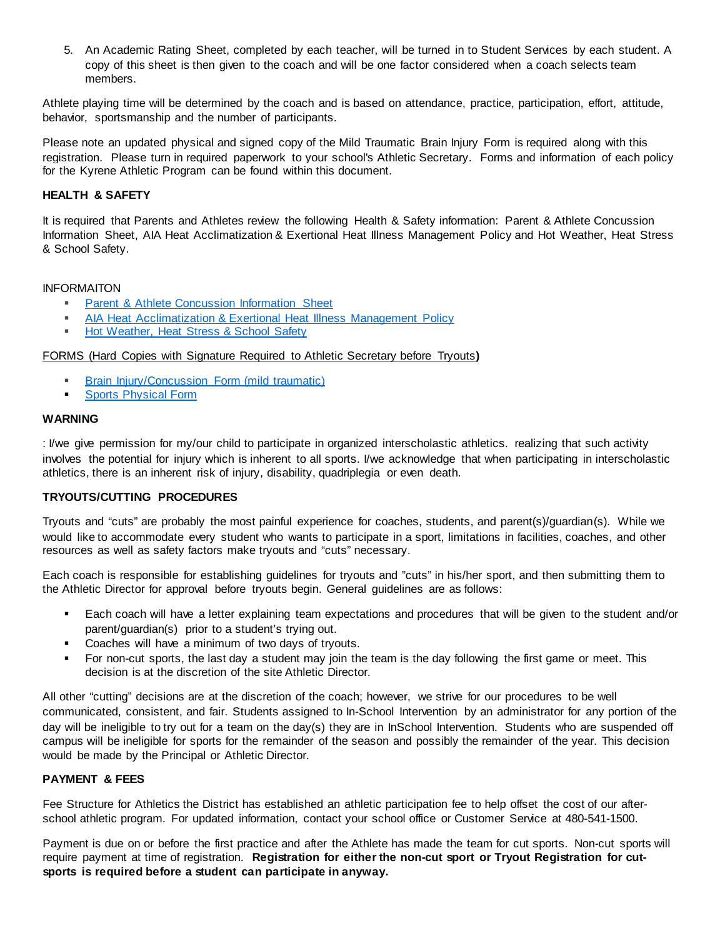5. An Academic Rating Sheet, completed by each teacher, will be turned in to Student Services by each student. A copy of this sheet is then given to the coach and will be one factor considered when a coach selects team members.

Athlete playing time will be determined by the coach and is based on attendance, practice, participation, effort, attitude, behavior, sportsmanship and the number of participants.

Please note an updated physical and signed copy of the Mild Traumatic Brain Injury Form is required along with this registration. Please turn in required paperwork to your school's Athletic Secretary. Forms and information of each policy for the Kyrene Athletic Program can be found within this document.

# **HEALTH & SAFETY**

It is required that Parents and Athletes review the following Health & Safety information: Parent & Athlete Concussion Information Sheet, AIA Heat Acclimatization & Exertional Heat Illness Management Policy and Hot Weather, Heat Stress & School Safety.

## INFORMAITON

- [Parent & Athlete Concussion Information Sheet](http://www.cdc.gov/headsup/pdfs/custom/headsupconcussion_parent_athlete_info.pdf)
- [AIA Heat Acclimatization & Exertional Heat Illness Management Policy](http://www.kyrene.org/cms/lib2/AZ01001083/Centricity/Domain/41/AIA%20Heat%20Acclimatization%20Exertional%20Heat%20Illness%20Management%20Policy.pdf)
- [Hot Weather, Heat Stress & School Safety](http://www.kyrene.org/cms/lib2/AZ01001083/Centricity/Domain/41/Hot%20Weather%20Safety.pdf)

## FORMS (Hard Copies with Signature Required to Athletic Secretary before Tryouts**)**

- [Brain Injury/Concussion Form \(mild traumatic\)](http://www.kyrene.org/cms/lib2/AZ01001083/Centricity/Domain/540/Mild%20Traumatic%20Brain%20Injuury%20Concussion%20Form.pdf)
- [Sports Physical Form](http://www.kyrene.org/cms/lib2/AZ01001083/Centricity/Domain/41/Athletic%20Forms/Sports%20Physical.pdf)

### **WARNING**

: I/we give permission for my/our child to participate in organized interscholastic athletics. realizing that such activity involves the potential for injury which is inherent to all sports. I/we acknowledge that when participating in interscholastic athletics, there is an inherent risk of injury, disability, quadriplegia or even death.

## **TRYOUTS/CUTTING PROCEDURES**

Tryouts and "cuts" are probably the most painful experience for coaches, students, and parent(s)/guardian(s). While we would like to accommodate every student who wants to participate in a sport, limitations in facilities, coaches, and other resources as well as safety factors make tryouts and "cuts" necessary.

Each coach is responsible for establishing guidelines for tryouts and "cuts" in his/her sport, and then submitting them to the Athletic Director for approval before tryouts begin. General guidelines are as follows:

- Each coach will have a letter explaining team expectations and procedures that will be given to the student and/or parent/guardian(s) prior to a student's trying out.
- Coaches will have a minimum of two days of tryouts.
- For non-cut sports, the last day a student may join the team is the day following the first game or meet. This decision is at the discretion of the site Athletic Director.

All other "cutting" decisions are at the discretion of the coach; however, we strive for our procedures to be well communicated, consistent, and fair. Students assigned to In-School Intervention by an administrator for any portion of the day will be ineligible to try out for a team on the day(s) they are in InSchool Intervention. Students who are suspended off campus will be ineligible for sports for the remainder of the season and possibly the remainder of the year. This decision would be made by the Principal or Athletic Director.

## **PAYMENT & FEES**

Fee Structure for Athletics the District has established an athletic participation fee to help offset the cost of our afterschool athletic program. For updated information, contact your school office or Customer Service at 480-541-1500.

Payment is due on or before the first practice and after the Athlete has made the team for cut sports. Non-cut sports will require payment at time of registration. **Registration for either the non-cut sport or Tryout Registration for cutsports is required before a student can participate in anyway.**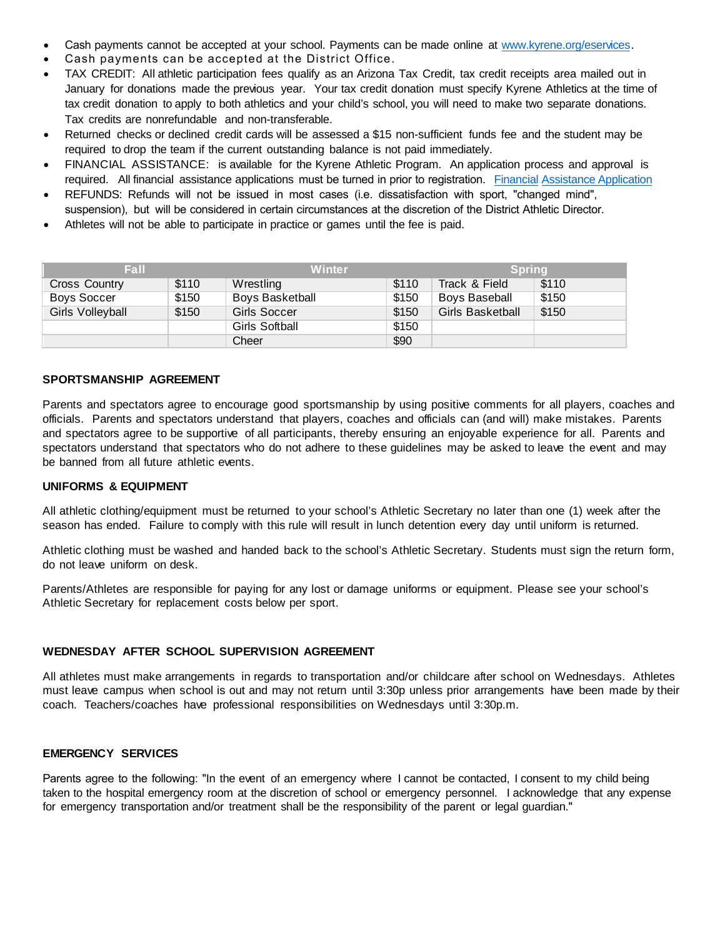- Cash payments cannot be accepted at your school. Payments can be made online at [www.kyrene.org/eservices.](http://www.kyrene.org/eservices)
- Cash payments can be accepted at the District Office.
- TAX CREDIT: All athletic participation fees qualify as an Arizona Tax Credit, tax credit receipts area mailed out in January for donations made the previous year. Your tax credit donation must specify Kyrene Athletics at the time of tax credit donation to apply to both athletics and your child's school, you will need to make two separate donations. Tax credits are nonrefundable and non-transferable.
- Returned checks or declined credit cards will be assessed a \$15 non-sufficient funds fee and the student may be required to drop the team if the current outstanding balance is not paid immediately.
- FINANCIAL ASSISTANCE: is available for the Kyrene Athletic Program. An application process and approval is required. All financial assistance applications must be turned in prior to registration. Financial [Assistance Application](https://www.kyrene.org/cms/lib/AZ01001083/Centricity/Domain/41/18_19%20Application.pdf)
- [REFUNDS:](http://www.kyrene.org/cms/lib2/AZ01001083/Centricity/Domain/41/Athletic%20Forms/financialassistanceform.pdf) Refunds will not be issued in most cases (i.e. dissatisfaction with sport, "changed mind", suspension), but will be considered in certain circumstances at the discretion of the District Athletic Director.
- Athletes will not be able to participate in practice or games until the fee is paid.

| Fall             |       | <b>Winter</b>          |       | Spring                  |       |
|------------------|-------|------------------------|-------|-------------------------|-------|
| Cross Country    | \$110 | Wrestling              | \$110 | Track & Field           | \$110 |
| Boys Soccer      | \$150 | <b>Boys Basketball</b> | \$150 | Boys Baseball           | \$150 |
| Girls Volleyball | \$150 | Girls Soccer           | \$150 | <b>Girls Basketball</b> | \$150 |
|                  |       | Girls Softball         | \$150 |                         |       |
|                  |       | Cheer                  | \$90  |                         |       |

#### **SPORTSMANSHIP AGREEMENT**

Parents and spectators agree to encourage good sportsmanship by using positive comments for all players, coaches and officials. Parents and spectators understand that players, coaches and officials can (and will) make mistakes. Parents and spectators agree to be supportive of all participants, thereby ensuring an enjoyable experience for all. Parents and spectators understand that spectators who do not adhere to these guidelines may be asked to leave the event and may be banned from all future athletic events.

#### **UNIFORMS & EQUIPMENT**

All athletic clothing/equipment must be returned to your school's Athletic Secretary no later than one (1) week after the season has ended. Failure to comply with this rule will result in lunch detention every day until uniform is returned.

Athletic clothing must be washed and handed back to the school's Athletic Secretary. Students must sign the return form, do not leave uniform on desk.

Parents/Athletes are responsible for paying for any lost or damage uniforms or equipment. Please see your school's Athletic Secretary for replacement costs below per sport.

# **WEDNESDAY AFTER SCHOOL SUPERVISION AGREEMENT**

All athletes must make arrangements in regards to transportation and/or childcare after school on Wednesdays. Athletes must leave campus when school is out and may not return until 3:30p unless prior arrangements have been made by their coach. Teachers/coaches have professional responsibilities on Wednesdays until 3:30p.m.

#### **EMERGENCY SERVICES**

Parents agree to the following: "In the event of an emergency where I cannot be contacted, I consent to my child being taken to the hospital emergency room at the discretion of school or emergency personnel. I acknowledge that any expense for emergency transportation and/or treatment shall be the responsibility of the parent or legal guardian."